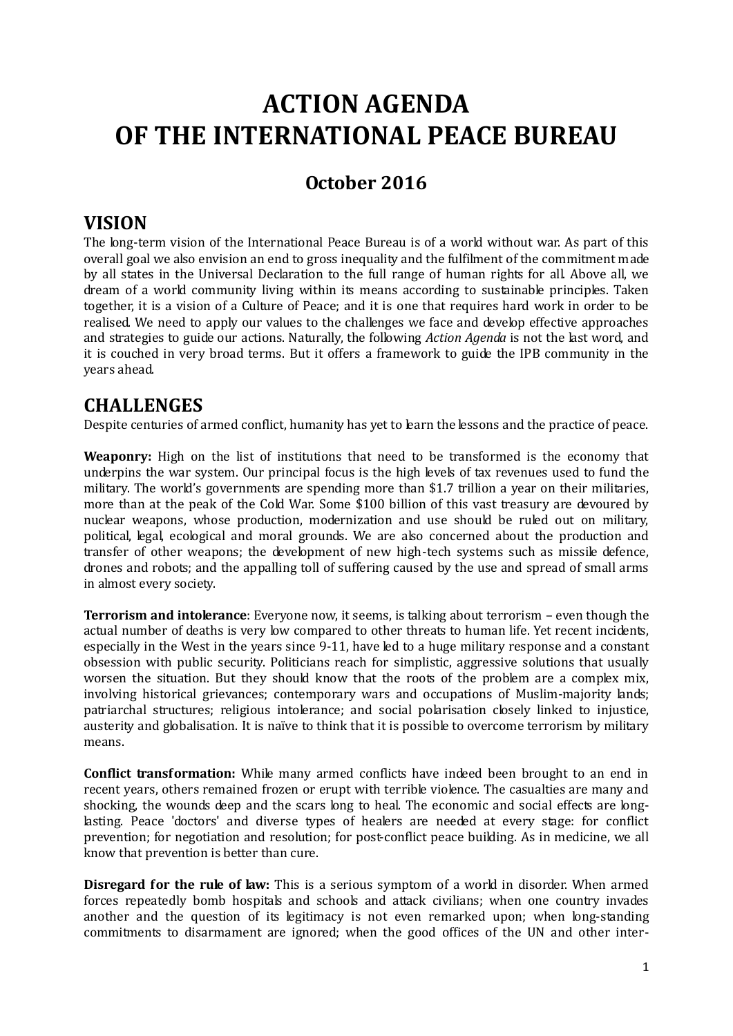# **ACTION AGENDA OF THE INTERNATIONAL PEACE BUREAU**

# **October 2016**

## **VISION**

The long-term vision of the International Peace Bureau is of a world without war. As part of this overall goal we also envision an end to gross inequality and the fulfilment of the commitment made by all states in the Universal Declaration to the full range of human rights for all. Above all, we dream of a world community living within its means according to sustainable principles. Taken together, it is a vision of a Culture of Peace; and it is one that requires hard work in order to be realised. We need to apply our values to the challenges we face and develop effective approaches and strategies to guide our actions. Naturally, the following *Action Agenda* is not the last word, and it is couched in very broad terms. But it offers a framework to guide the IPB community in the years ahead.

## **CHALLENGES**

Despite centuries of armed conflict, humanity has yet to learn the lessons and the practice of peace.

**Weaponry:** High on the list of institutions that need to be transformed is the economy that underpins the war system. Our principal focus is the high levels of tax revenues used to fund the military. The world's governments are spending more than \$1.7 trillion a year on their militaries, more than at the peak of the Cold War. Some \$100 billion of this vast treasury are devoured by nuclear weapons, whose production, modernization and use should be ruled out on military, political, legal, ecological and moral grounds. We are also concerned about the production and transfer of other weapons; the development of new high-tech systems such as missile defence, drones and robots; and the appalling toll of suffering caused by the use and spread of small arms in almost every society.

**Terrorism and intolerance**: Everyone now, it seems, is talking about terrorism – even though the actual number of deaths is very low compared to other threats to human life. Yet recent incidents, especially in the West in the years since 9-11, have led to a huge military response and a constant obsession with public security. Politicians reach for simplistic, aggressive solutions that usually worsen the situation. But they should know that the roots of the problem are a complex mix, involving historical grievances; contemporary wars and occupations of Muslim-majority lands; patriarchal structures; religious intolerance; and social polarisation closely linked to injustice, austerity and globalisation. It is naïve to think that it is possible to overcome terrorism by military means.

**Conflict transformation:** While many armed conflicts have indeed been brought to an end in recent years, others remained frozen or erupt with terrible violence. The casualties are many and shocking, the wounds deep and the scars long to heal. The economic and social effects are longlasting. Peace 'doctors' and diverse types of healers are needed at every stage: for conflict prevention; for negotiation and resolution; for post-conflict peace building. As in medicine, we all know that prevention is better than cure.

**Disregard for the rule of law:** This is a serious symptom of a world in disorder. When armed forces repeatedly bomb hospitals and schools and attack civilians; when one country invades another and the question of its legitimacy is not even remarked upon; when long-standing commitments to disarmament are ignored; when the good offices of the UN and other inter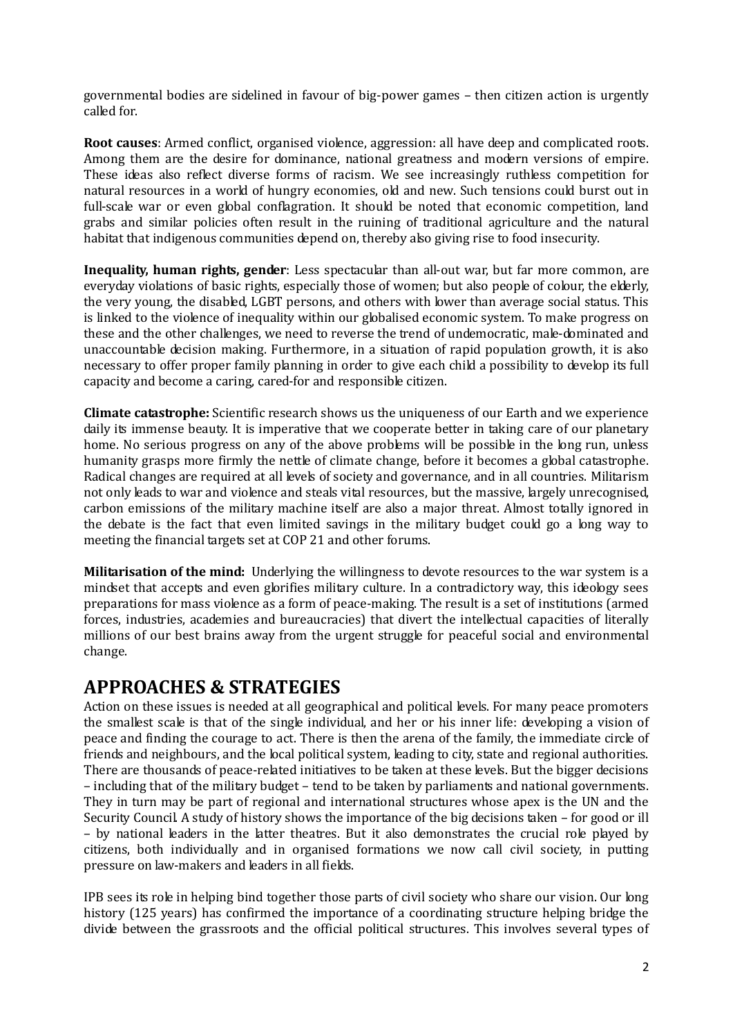governmental bodies are sidelined in favour of big-power games – then citizen action is urgently called for.

**Root causes**: Armed conflict, organised violence, aggression: all have deep and complicated roots. Among them are the desire for dominance, national greatness and modern versions of empire. These ideas also reflect diverse forms of racism. We see increasingly ruthless competition for natural resources in a world of hungry economies, old and new. Such tensions could burst out in full-scale war or even global conflagration. It should be noted that economic competition, land grabs and similar policies often result in the ruining of traditional agriculture and the natural habitat that indigenous communities depend on, thereby also giving rise to food insecurity.

**Inequality, human rights, gender**: Less spectacular than all-out war, but far more common, are everyday violations of basic rights, especially those of women; but also people of colour, the elderly, the very young, the disabled, LGBT persons, and others with lower than average social status. This is linked to the violence of inequality within our globalised economic system. To make progress on these and the other challenges, we need to reverse the trend of undemocratic, male-dominated and unaccountable decision making. Furthermore, in a situation of rapid population growth, it is also necessary to offer proper family planning in order to give each child a possibility to develop its full capacity and become a caring, cared-for and responsible citizen.

**Climate catastrophe:** Scientific research shows us the uniqueness of our Earth and we experience daily its immense beauty. It is imperative that we cooperate better in taking care of our planetary home. No serious progress on any of the above problems will be possible in the long run, unless humanity grasps more firmly the nettle of climate change, before it becomes a global catastrophe. Radical changes are required at all levels of society and governance, and in all countries. Militarism not only leads to war and violence and steals vital resources, but the massive, largely unrecognised, carbon emissions of the military machine itself are also a major threat. Almost totally ignored in the debate is the fact that even limited savings in the military budget could go a long way to meeting the financial targets set at COP 21 and other forums.

**Militarisation of the mind:** Underlying the willingness to devote resources to the war system is a mindset that accepts and even glorifies military culture. In a contradictory way, this ideology sees preparations for mass violence as a form of peace-making. The result is a set of institutions (armed forces, industries, academies and bureaucracies) that divert the intellectual capacities of literally millions of our best brains away from the urgent struggle for peaceful social and environmental change.

## **APPROACHES & STRATEGIES**

Action on these issues is needed at all geographical and political levels. For many peace promoters the smallest scale is that of the single individual, and her or his inner life: developing a vision of peace and finding the courage to act. There is then the arena of the family, the immediate circle of friends and neighbours, and the local political system, leading to city, state and regional authorities. There are thousands of peace-related initiatives to be taken at these levels. But the bigger decisions – including that of the military budget – tend to be taken by parliaments and national governments. They in turn may be part of regional and international structures whose apex is the UN and the Security Council. A study of history shows the importance of the big decisions taken – for good or ill – by national leaders in the latter theatres. But it also demonstrates the crucial role played by citizens, both individually and in organised formations we now call civil society, in putting pressure on law-makers and leaders in all fields.

IPB sees its role in helping bind together those parts of civil society who share our vision. Our long history (125 years) has confirmed the importance of a coordinating structure helping bridge the divide between the grassroots and the official political structures. This involves several types of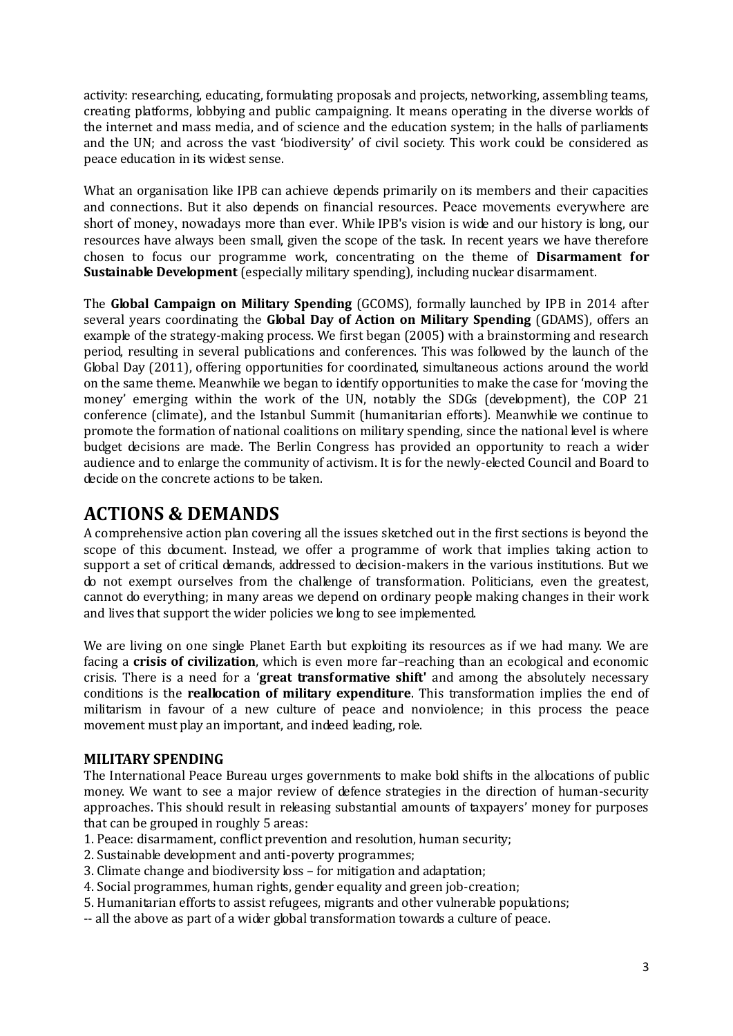activity: researching, educating, formulating proposals and projects, networking, assembling teams, creating platforms, lobbying and public campaigning. It means operating in the diverse worlds of the internet and mass media, and of science and the education system; in the halls of parliaments and the UN; and across the vast 'biodiversity' of civil society. This work could be considered as peace education in its widest sense.

What an organisation like IPB can achieve depends primarily on its members and their capacities and connections. But it also depends on financial resources. Peace movements everywhere are short of money, nowadays more than ever. While IPB's vision is wide and our history is long, our resources have always been small, given the scope of the task. In recent years we have therefore chosen to focus our programme work, concentrating on the theme of **Disarmament for Sustainable Development** (especially military spending), including nuclear disarmament.

The **Global Campaign on Military Spending** (GCOMS), formally launched by IPB in 2014 after several years coordinating the **Global Day of Action on Military Spending** (GDAMS), offers an example of the strategy-making process. We first began (2005) with a brainstorming and research period, resulting in several publications and conferences. This was followed by the launch of the Global Day (2011), offering opportunities for coordinated, simultaneous actions around the world on the same theme. Meanwhile we began to identify opportunities to make the case for 'moving the money' emerging within the work of the UN, notably the SDGs (development), the COP 21 conference (climate), and the Istanbul Summit (humanitarian efforts). Meanwhile we continue to promote the formation of national coalitions on military spending, since the national level is where budget decisions are made. The Berlin Congress has provided an opportunity to reach a wider audience and to enlarge the community of activism. It is for the newly-elected Council and Board to decide on the concrete actions to be taken.

# **ACTIONS & DEMANDS**

A comprehensive action plan covering all the issues sketched out in the first sections is beyond the scope of this document. Instead, we offer a programme of work that implies taking action to support a set of critical demands, addressed to decision-makers in the various institutions. But we do not exempt ourselves from the challenge of transformation. Politicians, even the greatest, cannot do everything; in many areas we depend on ordinary people making changes in their work and lives that support the wider policies we long to see implemented.

We are living on one single Planet Earth but exploiting its resources as if we had many. We are facing a **crisis of civilization**, which is even more far–reaching than an ecological and economic crisis. There is a need for a '**great transformative shift'** and among the absolutely necessary conditions is the **reallocation of military expenditure**. This transformation implies the end of militarism in favour of a new culture of peace and nonviolence; in this process the peace movement must play an important, and indeed leading, role.

## **MILITARY SPENDING**

The International Peace Bureau urges governments to make bold shifts in the allocations of public money. We want to see a major review of defence strategies in the direction of human-security approaches. This should result in releasing substantial amounts of taxpayers' money for purposes that can be grouped in roughly 5 areas:

- 1. Peace: disarmament, conflict prevention and resolution, human security;
- 2. Sustainable development and anti-poverty programmes;
- 3. Climate change and biodiversity loss for mitigation and adaptation;
- 4. Social programmes, human rights, gender equality and green job-creation;
- 5. Humanitarian efforts to assist refugees, migrants and other vulnerable populations;
- -- all the above as part of a wider global transformation towards a culture of peace.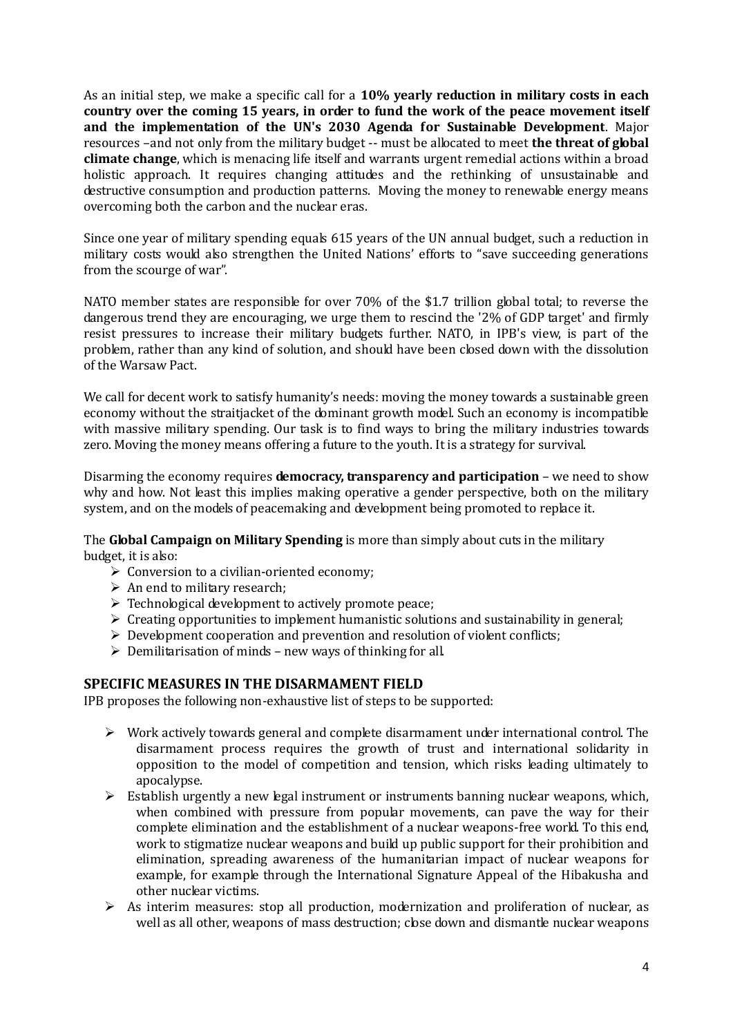As an initial step, we make a specific call for a **10% yearly reduction in military costs in each country over the coming 15 years, in order to fund the work of the peace movement itself and the implementation of the UN's 2030 Agenda for Sustainable Development**. Major resources –and not only from the military budget -- must be allocated to meet **the threat of global climate change**, which is menacing life itself and warrants urgent remedial actions within a broad holistic approach. It requires changing attitudes and the rethinking of unsustainable and destructive consumption and production patterns. Moving the money to renewable energy means overcoming both the carbon and the nuclear eras.

Since one year of military spending equals 615 years of the UN annual budget, such a reduction in military costs would also strengthen the United Nations' efforts to "save succeeding generations from the scourge of war".

NATO member states are responsible for over 70% of the \$1.7 trillion global total; to reverse the dangerous trend they are encouraging, we urge them to rescind the '2% of GDP target' and firmly resist pressures to increase their military budgets further. NATO, in IPB's view, is part of the problem, rather than any kind of solution, and should have been closed down with the dissolution of the Warsaw Pact.

We call for decent work to satisfy humanity's needs: moving the money towards a sustainable green economy without the straitjacket of the dominant growth model. Such an economy is incompatible with massive military spending. Our task is to find ways to bring the military industries towards zero. Moving the money means offering a future to the youth. It is a strategy for survival.

Disarming the economy requires **democracy, transparency and participation** – we need to show why and how. Not least this implies making operative a gender perspective, both on the military system, and on the models of peacemaking and development being promoted to replace it.

The **Global Campaign on Military Spending** is more than simply about cuts in the military budget, it is also:

- $\triangleright$  Conversion to a civilian-oriented economy;
- $\triangleright$  An end to military research:
- $\triangleright$  Technological development to actively promote peace;
- $\triangleright$  Creating opportunities to implement humanistic solutions and sustainability in general;
- $\triangleright$  Development cooperation and prevention and resolution of violent conflicts;
- $\triangleright$  Demilitarisation of minds new ways of thinking for all.

### **SPECIFIC MEASURES IN THE DISARMAMENT FIELD**

IPB proposes the following non-exhaustive list of steps to be supported:

- $\triangleright$  Work actively towards general and complete disarmament under international control. The disarmament process requires the growth of trust and international solidarity in opposition to the model of competition and tension, which risks leading ultimately to apocalypse.
- $\triangleright$  Establish urgently a new legal instrument or instruments banning nuclear weapons, which, when combined with pressure from popular movements, can pave the way for their complete elimination and the establishment of a nuclear weapons-free world. To this end, work to stigmatize nuclear weapons and build up public support for their prohibition and elimination, spreading awareness of the humanitarian impact of nuclear weapons for example, for example through the International Signature Appeal of the Hibakusha and other nuclear victims.
- $\triangleright$  As interim measures: stop all production, modernization and proliferation of nuclear, as well as all other, weapons of mass destruction; close down and dismantle nuclear weapons